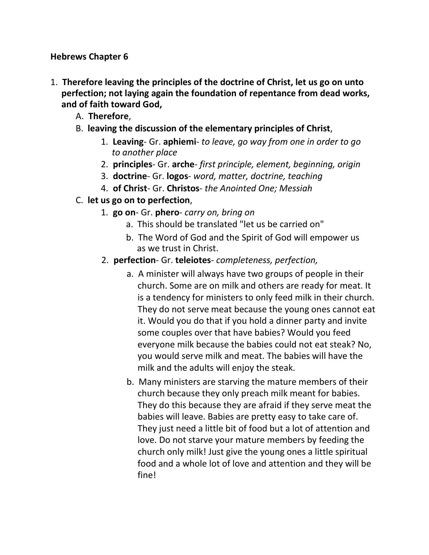**Hebrews Chapter 6**

- 1. **Therefore leaving the principles of the doctrine of Christ, let us go on unto perfection; not laying again the foundation of repentance from dead works, and of faith toward God,**
	- A. **Therefore**,
	- B. **leaving the discussion of the elementary principles of Christ**,
		- 1. **Leaving** Gr. **aphiemi** *to leave, go way from one in order to go to another place*
		- 2. **principles** Gr. **arche** *first principle, element, beginning, origin*
		- 3. **doctrine** Gr. **logos** *word, matter, doctrine, teaching*
		- 4. **of Christ** Gr. **Christos** *the Anointed One; Messiah*
	- C. **let us go on to perfection**,
		- 1. **go on** Gr. **phero** *carry on, bring on*
			- a. This should be translated "let us be carried on"
			- b. The Word of God and the Spirit of God will empower us as we trust in Christ.
		- 2. **perfection** Gr. **teleiotes** *completeness, perfection,*
			- a. A minister will always have two groups of people in their church. Some are on milk and others are ready for meat. It is a tendency for ministers to only feed milk in their church. They do not serve meat because the young ones cannot eat it. Would you do that if you hold a dinner party and invite some couples over that have babies? Would you feed everyone milk because the babies could not eat steak? No, you would serve milk and meat. The babies will have the milk and the adults will enjoy the steak.
			- b. Many ministers are starving the mature members of their church because they only preach milk meant for babies. They do this because they are afraid if they serve meat the babies will leave. Babies are pretty easy to take care of. They just need a little bit of food but a lot of attention and love. Do not starve your mature members by feeding the church only milk! Just give the young ones a little spiritual food and a whole lot of love and attention and they will be fine!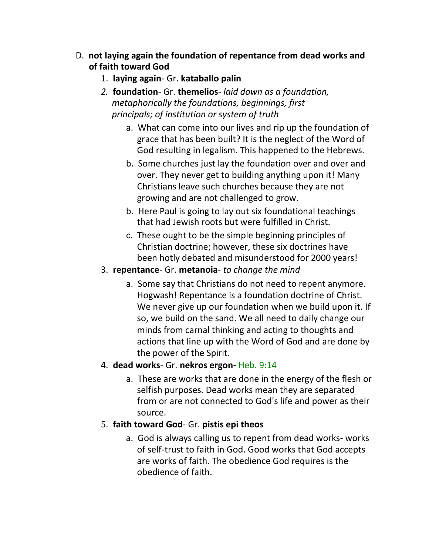- D. **not laying again the foundation of repentance from dead works and of faith toward God**
	- 1. **laying again** Gr. **kataballo palin**
	- *2.* **foundation** Gr. **themelios** *laid down as a foundation, metaphorically the foundations, beginnings, first principals; of institution or system of truth*
		- a. What can come into our lives and rip up the foundation of grace that has been built? It is the neglect of the Word of God resulting in legalism. This happened to the Hebrews.
		- b. Some churches just lay the foundation over and over and over. They never get to building anything upon it! Many Christians leave such churches because they are not growing and are not challenged to grow.
		- b. Here Paul is going to lay out six foundational teachings that had Jewish roots but were fulfilled in Christ.
		- c. These ought to be the simple beginning principles of Christian doctrine; however, these six doctrines have been hotly debated and misunderstood for 2000 years!
	- 3. **repentance** Gr. **metanoia** *to change the mind*
		- a. Some say that Christians do not need to repent anymore. Hogwash! Repentance is a foundation doctrine of Christ. We never give up our foundation when we build upon it. If so, we build on the sand. We all need to daily change our minds from carnal thinking and acting to thoughts and actions that line up with the Word of God and are done by the power of the Spirit.

## 4. **dead works**- Gr. **nekros ergon-** Heb. 9:14

a. These are works that are done in the energy of the flesh or selfish purposes. Dead works mean they are separated from or are not connected to God's life and power as their source.

## 5. **faith toward God**- Gr. **pistis epi theos**

a. God is always calling us to repent from dead works- works of self-trust to faith in God. Good works that God accepts are works of faith. The obedience God requires is the obedience of faith.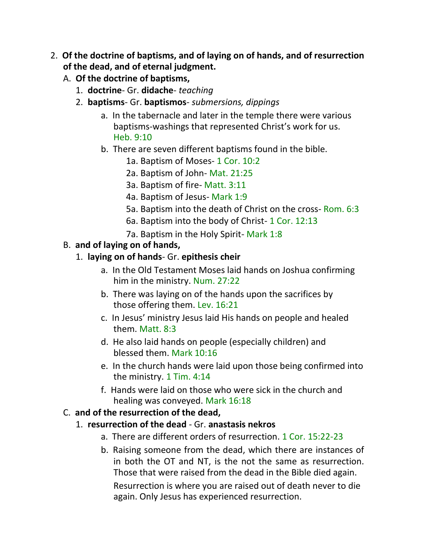- 2. **Of the doctrine of baptisms, and of laying on of hands, and of resurrection of the dead, and of eternal judgment.**
	- A. **Of the doctrine of baptisms,**
		- 1. **doctrine** Gr. **didache** *teaching*
		- 2. **baptisms** Gr. **baptismos** *submersions, dippings*
			- a. In the tabernacle and later in the temple there were various baptisms-washings that represented Christ's work for us. Heb. 9:10
			- b. There are seven different baptisms found in the bible.
				- 1a. Baptism of Moses- 1 Cor. 10:2
				- 2a. Baptism of John- Mat. 21:25
				- 3a. Baptism of fire- Matt. 3:11
				- 4a. Baptism of Jesus- Mark 1:9
				- 5a. Baptism into the death of Christ on the cross- Rom. 6:3
				- 6a. Baptism into the body of Christ- 1 Cor. 12:13
				- 7a. Baptism in the Holy Spirit- Mark 1:8

## B. **and of laying on of hands,**

## 1. **laying on of hands**- Gr. **epithesis cheir**

- a. In the Old Testament Moses laid hands on Joshua confirming him in the ministry. Num. 27:22
- b. There was laying on of the hands upon the sacrifices by those offering them. Lev. 16:21
- c. In Jesus' ministry Jesus laid His hands on people and healed them. Matt. 8:3
- d. He also laid hands on people (especially children) and blessed them. Mark 10:16
- e. In the church hands were laid upon those being confirmed into the ministry. 1 Tim. 4:14
- f. Hands were laid on those who were sick in the church and healing was conveyed. Mark 16:18

#### C. **and of the resurrection of the dead,**

#### 1. **resurrection of the dead** - Gr. **anastasis nekros**

- a. There are different orders of resurrection. 1 Cor. 15:22-23
- b. Raising someone from the dead, which there are instances of in both the OT and NT, is the not the same as resurrection. Those that were raised from the dead in the Bible died again.

Resurrection is where you are raised out of death never to die again. Only Jesus has experienced resurrection.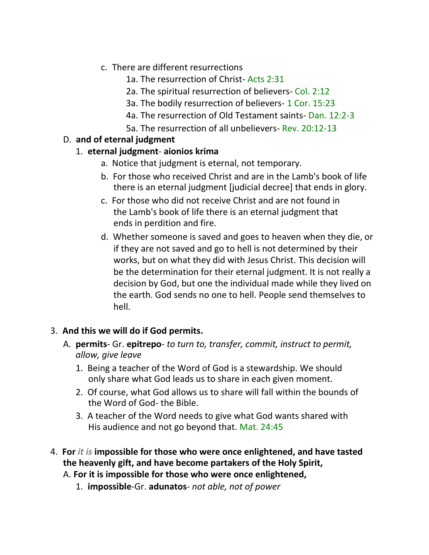- c. There are different resurrections
	- 1a. The resurrection of Christ- Acts 2:31
	- 2a. The spiritual resurrection of believers- Col. 2:12
	- 3a. The bodily resurrection of believers- 1 Cor. 15:23
	- 4a. The resurrection of Old Testament saints- Dan. 12:2-3
	- 5a. The resurrection of all unbelievers- Rev. 20:12-13

# D. **and of eternal judgment**

## 1. **eternal judgment**- **aionios krima**

- a. Notice that judgment is eternal, not temporary.
- b. For those who received Christ and are in the Lamb's book of life there is an eternal judgment [judicial decree] that ends in glory.
- c. For those who did not receive Christ and are not found in the Lamb's book of life there is an eternal judgment that ends in perdition and fire.
- d. Whether someone is saved and goes to heaven when they die, or if they are not saved and go to hell is not determined by their works, but on what they did with Jesus Christ. This decision will be the determination for their eternal judgment. It is not really a decision by God, but one the individual made while they lived on the earth. God sends no one to hell. People send themselves to hell.

# 3. **And this we will do if God permits.**

- A. **permits** Gr. **epitrepo** *to turn to, transfer, commit, instruct to permit, allow, give leave*
	- 1. Being a teacher of the Word of God is a stewardship. We should only share what God leads us to share in each given moment.
	- 2. Of course, what God allows us to share will fall within the bounds of the Word of God- the Bible.
	- 3. A teacher of the Word needs to give what God wants shared with His audience and not go beyond that. Mat. 24:45
- 4. **For** *it is* **impossible for those who were once enlightened, and have tasted the heavenly gift, and have become partakers of the Holy Spirit,**
	- A. **For it is impossible for those who were once enlightened,**
		- 1. **impossible**-Gr. **adunatos** *not able, not of power*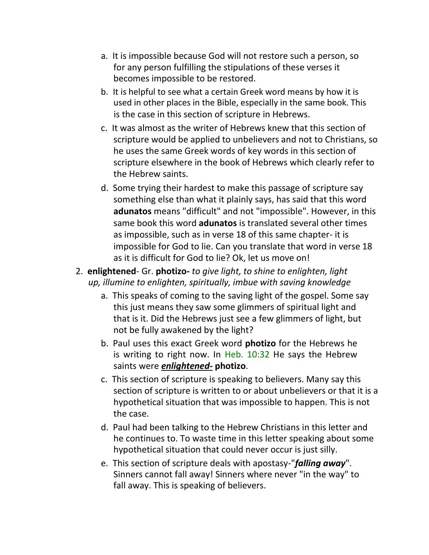- a. It is impossible because God will not restore such a person, so for any person fulfilling the stipulations of these verses it becomes impossible to be restored.
- b. It is helpful to see what a certain Greek word means by how it is used in other places in the Bible, especially in the same book. This is the case in this section of scripture in Hebrews.
- c. It was almost as the writer of Hebrews knew that this section of scripture would be applied to unbelievers and not to Christians, so he uses the same Greek words of key words in this section of scripture elsewhere in the book of Hebrews which clearly refer to the Hebrew saints.
- d. Some trying their hardest to make this passage of scripture say something else than what it plainly says, has said that this word **adunatos** means "difficult" and not "impossible". However, in this same book this word **adunatos** is translated several other times as impossible, such as in verse 18 of this same chapter- it is impossible for God to lie. Can you translate that word in verse 18 as it is difficult for God to lie? Ok, let us move on!
- 2. **enlightened** Gr. **photizo-** *to give light, to shine to enlighten, light up, illumine to enlighten, spiritually, imbue with saving knowledge*
	- a. This speaks of coming to the saving light of the gospel. Some say this just means they saw some glimmers of spiritual light and that is it. Did the Hebrews just see a few glimmers of light, but not be fully awakened by the light?
	- b. Paul uses this exact Greek word **photizo** for the Hebrews he is writing to right now. In Heb.  $10:32$  He says the Hebrew saints were *enlightened-* **photizo**.
	- c. This section of scripture is speaking to believers. Many say this section of scripture is written to or about unbelievers or that it is a hypothetical situation that was impossible to happen. This is not the case.
	- d. Paul had been talking to the Hebrew Christians in this letter and he continues to. To waste time in this letter speaking about some hypothetical situation that could never occur is just silly.
	- e. This section of scripture deals with apostasy-"*falling away*". Sinners cannot fall away! Sinners where never "in the way" to fall away. This is speaking of believers.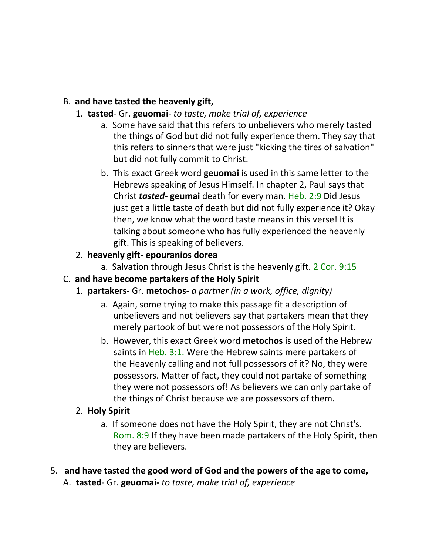## B. **and have tasted the heavenly gift,**

- 1. **tasted** Gr. **geuomai** *to taste, make trial of, experience*
	- a. Some have said that this refers to unbelievers who merely tasted the things of God but did not fully experience them. They say that this refers to sinners that were just "kicking the tires of salvation" but did not fully commit to Christ.
	- b. This exact Greek word **geuomai** is used in this same letter to the Hebrews speaking of Jesus Himself. In chapter 2, Paul says that Christ *tasted***- geumai** death for every man. Heb. 2:9 Did Jesus just get a little taste of death but did not fully experience it? Okay then, we know what the word taste means in this verse! It is talking about someone who has fully experienced the heavenly gift. This is speaking of believers.

## 2. **heavenly gift**- **epouranios dorea**

a. Salvation through Jesus Christ is the heavenly gift. 2 Cor. 9:15

## C. **and have become partakers of the Holy Spirit**

- 1. **partakers** Gr. **metochos** *a partner (in a work, office, dignity)*
	- a. Again, some trying to make this passage fit a description of unbelievers and not believers say that partakers mean that they merely partook of but were not possessors of the Holy Spirit.
	- b. However, this exact Greek word **metochos** is used of the Hebrew saints in Heb. 3:1. Were the Hebrew saints mere partakers of the Heavenly calling and not full possessors of it? No, they were possessors. Matter of fact, they could not partake of something they were not possessors of! As believers we can only partake of the things of Christ because we are possessors of them.

# 2. **Holy Spirit**

- a. If someone does not have the Holy Spirit, they are not Christ's. Rom. 8:9 If they have been made partakers of the Holy Spirit, then they are believers.
- 5. **and have tasted the good word of God and the powers of the age to come,** A. **tasted**- Gr. **geuomai-** *to taste, make trial of, experience*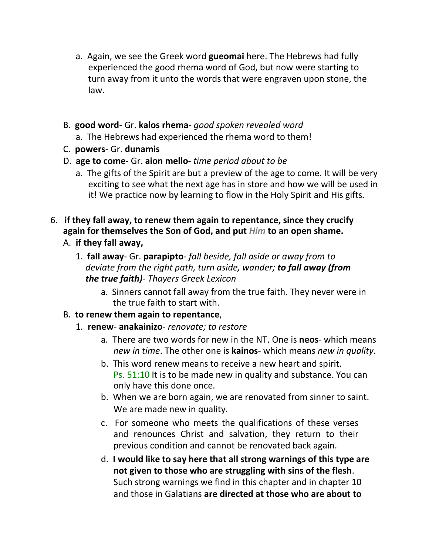- a. Again, we see the Greek word **gueomai** here. The Hebrews had fully experienced the good rhema word of God, but now were starting to turn away from it unto the words that were engraven upon stone, the law.
- B. **good word** Gr. **kalos rhema** *good spoken revealed word*
	- a. The Hebrews had experienced the rhema word to them!
- C. **powers** Gr. **dunamis**
- D. **age to come** Gr. **aion mello** *time period about to be*
	- a. The gifts of the Spirit are but a preview of the age to come. It will be very exciting to see what the next age has in store and how we will be used in it! We practice now by learning to flow in the Holy Spirit and His gifts.
- 6. **if they fall away, to renew them again to repentance, since they crucify again for themselves the Son of God, and put** *Him* **to an open shame.**
	- A. **if they fall away,**
		- 1. **fall away** Gr. **parapipto** *fall beside, fall aside or away from to deviate from the right path, turn aside, wander; to fall away (from the true faith)*- *Thayers Greek Lexicon*
			- a. Sinners cannot fall away from the true faith. They never were in the true faith to start with.
	- B. **to renew them again to repentance**,
		- 1. **renew anakainizo** *renovate; to restore*
			- a. There are two words for new in the NT. One is **neos** which means *new in time*. The other one is **kainos**- which means *new in quality*.
			- b. This word renew means to receive a new heart and spirit. Ps. 51:10 It is to be made new in quality and substance. You can only have this done once.
			- b. When we are born again, we are renovated from sinner to saint. We are made new in quality.
			- c. For someone who meets the qualifications of these verses and renounces Christ and salvation, they return to their previous condition and cannot be renovated back again.
			- d. **I would like to say here that all strong warnings of this type are not given to those who are struggling with sins of the flesh**. Such strong warnings we find in this chapter and in chapter 10 and those in Galatians **are directed at those who are about to**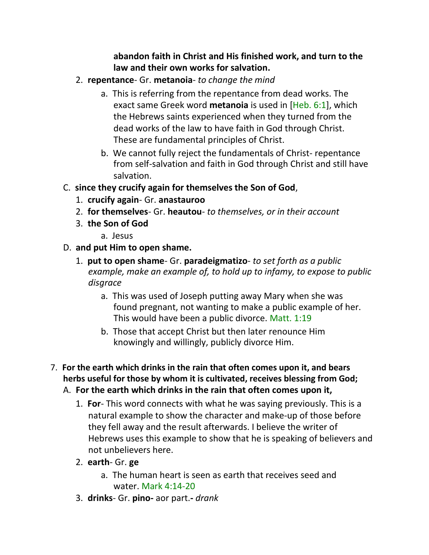#### **abandon faith in Christ and His finished work, and turn to the law and their own works for salvation.**

- 2. **repentance** Gr. **metanoia** *to change the mind*
	- a. This is referring from the repentance from dead works. The exact same Greek word **metanoia** is used in [Heb. 6:1], which the Hebrews saints experienced when they turned from the dead works of the law to have faith in God through Christ. These are fundamental principles of Christ.
	- b. We cannot fully reject the fundamentals of Christ- repentance from self-salvation and faith in God through Christ and still have salvation.
- C. **since they crucify again for themselves the Son of God**,
	- 1. **crucify again** Gr. **anastauroo**
	- 2. **for themselves** Gr. **heautou** *to themselves, or in their account*
	- 3. **the Son of God**
		- a. Jesus
- D. **and put Him to open shame.**
	- 1. **put to open shame** Gr. **paradeigmatizo** *to set forth as a public example, make an example of, to hold up to infamy, to expose to public disgrace*
		- a. This was used of Joseph putting away Mary when she was found pregnant, not wanting to make a public example of her. This would have been a public divorce. Matt. 1:19
		- b. Those that accept Christ but then later renounce Him knowingly and willingly, publicly divorce Him.
- 7. **For the earth which drinks in the rain that often comes upon it, and bears herbs useful for those by whom it is cultivated, receives blessing from God;**

# A. **For the earth which drinks in the rain that often comes upon it,**

- 1. **For** This word connects with what he was saying previously. This is a natural example to show the character and make-up of those before they fell away and the result afterwards. I believe the writer of Hebrews uses this example to show that he is speaking of believers and not unbelievers here.
- 2. **earth** Gr. **ge**
	- a. The human heart is seen as earth that receives seed and water. Mark 4:14-20
- 3. **drinks** Gr. **pino-** aor part.**-** *drank*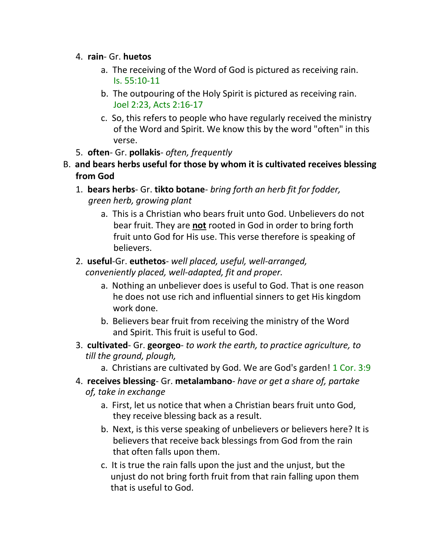#### 4. **rain**- Gr. **huetos**

- a. The receiving of the Word of God is pictured as receiving rain. Is. 55:10-11
- b. The outpouring of the Holy Spirit is pictured as receiving rain. Joel 2:23, Acts 2:16-17
- c. So, this refers to people who have regularly received the ministry of the Word and Spirit. We know this by the word "often" in this verse.
- 5. **often** Gr. **pollakis** *often, frequently*
- B. **and bears herbs useful for those by whom it is cultivated receives blessing from God**
	- 1. **bears herbs** Gr. **tikto botane** *bring forth an herb fit for fodder, green herb, growing plant*
		- a. This is a Christian who bears fruit unto God. Unbelievers do not bear fruit. They are **not** rooted in God in order to bring forth fruit unto God for His use. This verse therefore is speaking of believers.
	- 2. **useful**-Gr. **euthetos** *well placed, useful, well-arranged, conveniently placed, well-adapted, fit and proper.*
		- a. Nothing an unbeliever does is useful to God. That is one reason he does not use rich and influential sinners to get His kingdom work done.
		- b. Believers bear fruit from receiving the ministry of the Word and Spirit. This fruit is useful to God.
	- 3. **cultivated** Gr. **georgeo** *to work the earth, to practice agriculture, to till the ground, plough,*
		- a. Christians are cultivated by God. We are God's garden! 1 Cor. 3:9
	- 4. **receives blessing** Gr. **metalambano** *have or get a share of, partake of, take in exchange*
		- a. First, let us notice that when a Christian bears fruit unto God, they receive blessing back as a result.
		- b. Next, is this verse speaking of unbelievers or believers here? It is believers that receive back blessings from God from the rain that often falls upon them.
		- c. It is true the rain falls upon the just and the unjust, but the unjust do not bring forth fruit from that rain falling upon them that is useful to God.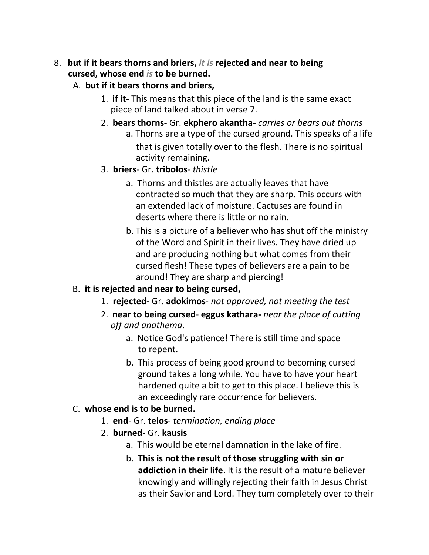#### 8. **but if it bears thorns and briers,** *it is* **rejected and near to being cursed, whose end** *is* **to be burned.**

#### A. **but if it bears thorns and briers,**

- 1. **if it** This means that this piece of the land is the same exact piece of land talked about in verse 7.
- 2. **bears thorns** Gr. **ekphero akantha** *carries or bears out thorns* a. Thorns are a type of the cursed ground. This speaks of a life that is given totally over to the flesh. There is no spiritual activity remaining.
- 3. **briers** Gr. **tribolos** *thistle*
	- a. Thorns and thistles are actually leaves that have contracted so much that they are sharp. This occurs with an extended lack of moisture. Cactuses are found in deserts where there is little or no rain.
	- b. This is a picture of a believer who has shut off the ministry of the Word and Spirit in their lives. They have dried up and are producing nothing but what comes from their cursed flesh! These types of believers are a pain to be around! They are sharp and piercing!

## B. **it is rejected and near to being cursed,**

- 1. **rejected-** Gr. **adokimos** *not approved, not meeting the test*
- 2. **near to being cursed eggus kathara-** *near the place of cutting off and anathema*.
	- a. Notice God's patience! There is still time and space to repent.
	- b. This process of being good ground to becoming cursed ground takes a long while. You have to have your heart hardened quite a bit to get to this place. I believe this is an exceedingly rare occurrence for believers.

## C. **whose end is to be burned.**

- 1. **end** Gr. **telos** *termination, ending place*
- 2. **burned** Gr. **kausis**
	- a. This would be eternal damnation in the lake of fire.
	- b. **This is not the result of those struggling with sin or addiction in their life**. It is the result of a mature believer knowingly and willingly rejecting their faith in Jesus Christ as their Savior and Lord. They turn completely over to their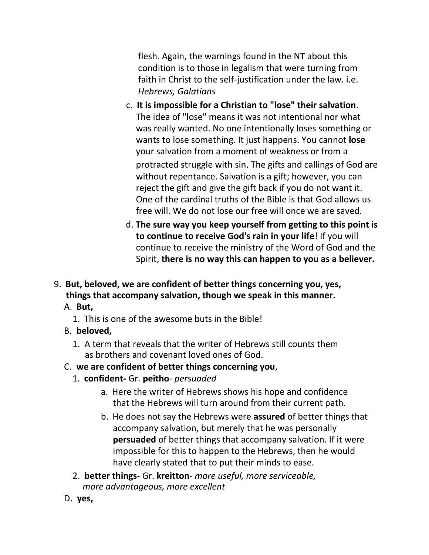flesh. Again, the warnings found in the NT about this condition is to those in legalism that were turning from faith in Christ to the self-justification under the law. i.e. *Hebrews, Galatians*

- c. **It is impossible for a Christian to "lose" their salvation**. The idea of "lose" means it was not intentional nor what was really wanted. No one intentionally loses something or wants to lose something. It just happens. You cannot **lose** your salvation from a moment of weakness or from a protracted struggle with sin. The gifts and callings of God are without repentance. Salvation is a gift; however, you can reject the gift and give the gift back if you do not want it. One of the cardinal truths of the Bible is that God allows us free will. We do not lose our free will once we are saved.
- d. **The sure way you keep yourself from getting to this point is to continue to receive God's rain in your life**! If you will continue to receive the ministry of the Word of God and the Spirit, **there is no way this can happen to you as a believer.**
- 9. **But, beloved, we are confident of better things concerning you, yes, things that accompany salvation, though we speak in this manner.**
	- A. **But,**
		- 1. This is one of the awesome buts in the Bible!
	- B. **beloved,**
		- 1. A term that reveals that the writer of Hebrews still counts them as brothers and covenant loved ones of God.

## C. **we are confident of better things concerning you**,

- 1. **confident-** Gr. **peitho** *persuaded*
	- a. Here the writer of Hebrews shows his hope and confidence that the Hebrews will turn around from their current path.
	- b. He does not say the Hebrews were **assured** of better things that accompany salvation, but merely that he was personally **persuaded** of better things that accompany salvation. If it were impossible for this to happen to the Hebrews, then he would have clearly stated that to put their minds to ease.
- 2. **better things** Gr. **kreitton** *more useful, more serviceable, more advantageous, more excellent*
- D. **yes,**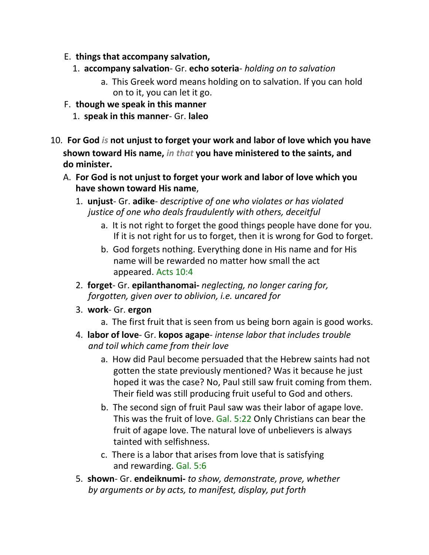- E. **things that accompany salvation,**
	- 1. **accompany salvation** Gr. **echo soteria** *holding on to salvation*
		- a. This Greek word means holding on to salvation. If you can hold on to it, you can let it go.
- F. **though we speak in this manner**
	- 1. **speak in this manner** Gr. **laleo**
- 10. **For God** *is* **not unjust to forget your work and labor of love which you have shown toward His name,** *in that* **you have ministered to the saints, and do minister.**
	- A. **For God is not unjust to forget your work and labor of love which you have shown toward His name**,
		- 1. **unjust** Gr. **adike** *descriptive of one who violates or has violated justice of one who deals fraudulently with others, deceitful*
			- a. It is not right to forget the good things people have done for you. If it is not right for us to forget, then it is wrong for God to forget.
			- b. God forgets nothing. Everything done in His name and for His name will be rewarded no matter how small the act appeared. Acts 10:4
		- 2. **forget** Gr. **epilanthanomai-** *neglecting, no longer caring for, forgotten, given over to oblivion, i.e. uncared for*
		- 3. **work** Gr. **ergon**
			- a. The first fruit that is seen from us being born again is good works.
		- 4. **labor of love** Gr. **kopos agape** *intense labor that includes trouble and toil which came from their love*
			- a. How did Paul become persuaded that the Hebrew saints had not gotten the state previously mentioned? Was it because he just hoped it was the case? No, Paul still saw fruit coming from them. Their field was still producing fruit useful to God and others.
			- b. The second sign of fruit Paul saw was their labor of agape love. This was the fruit of love. Gal. 5:22 Only Christians can bear the fruit of agape love. The natural love of unbelievers is always tainted with selfishness.
			- c. There is a labor that arises from love that is satisfying and rewarding. Gal. 5:6
		- 5. **shown** Gr. **endeiknumi-** *to show, demonstrate, prove, whether by arguments or by acts, to manifest, display, put forth*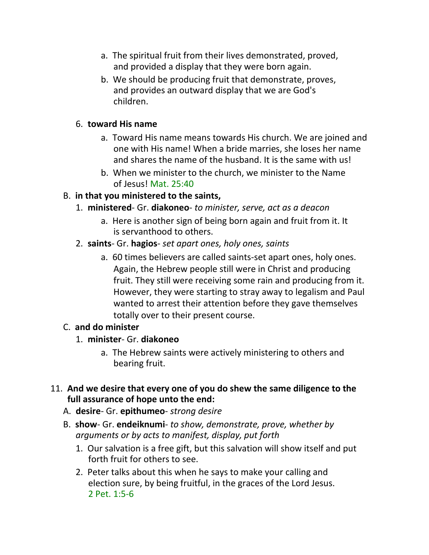- a. The spiritual fruit from their lives demonstrated, proved, and provided a display that they were born again.
- b. We should be producing fruit that demonstrate, proves, and provides an outward display that we are God's children.

#### 6. **toward His name**

- a. Toward His name means towards His church. We are joined and one with His name! When a bride marries, she loses her name and shares the name of the husband. It is the same with us!
- b. When we minister to the church, we minister to the Name of Jesus! Mat. 25:40

#### B. **in that you ministered to the saints,**

- 1. **ministered** Gr. **diakoneo** *to minister, serve, act as a deacon*
	- a. Here is another sign of being born again and fruit from it. It is servanthood to others.
- 2. **saints** Gr. **hagios** *set apart ones, holy ones, saints*
	- a. 60 times believers are called saints-set apart ones, holy ones. Again, the Hebrew people still were in Christ and producing fruit. They still were receiving some rain and producing from it. However, they were starting to stray away to legalism and Paul wanted to arrest their attention before they gave themselves totally over to their present course.

## C. **and do minister**

- 1. **minister** Gr. **diakoneo**
	- a. The Hebrew saints were actively ministering to others and bearing fruit.
- 11. **And we desire that every one of you do shew the same diligence to the full assurance of hope unto the end:**
	- A. **desire** Gr. **epithumeo** *strong desire*
	- B. **show** Gr. **endeiknumi** *to show, demonstrate, prove, whether by arguments or by acts to manifest, display, put forth*
		- 1. Our salvation is a free gift, but this salvation will show itself and put forth fruit for others to see.
		- 2. Peter talks about this when he says to make your calling and election sure, by being fruitful, in the graces of the Lord Jesus. 2 Pet. 1:5-6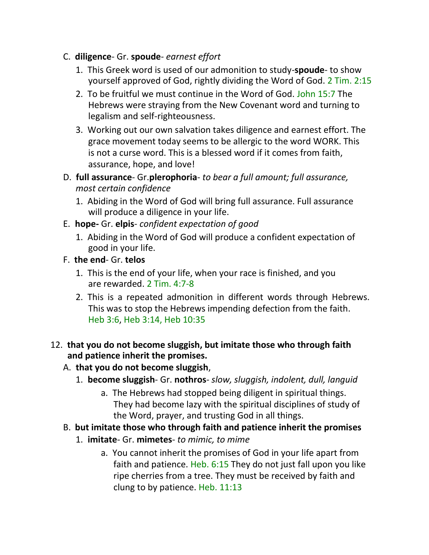- C. **diligence** Gr. **spoude** *earnest effort*
	- 1. This Greek word is used of our admonition to study-**spoude** to show yourself approved of God, rightly dividing the Word of God. 2 Tim. 2:15
	- 2. To be fruitful we must continue in the Word of God. John 15:7 The Hebrews were straying from the New Covenant word and turning to legalism and self-righteousness.
	- 3. Working out our own salvation takes diligence and earnest effort. The grace movement today seems to be allergic to the word WORK. This is not a curse word. This is a blessed word if it comes from faith, assurance, hope, and love!
- D. **full assurance** Gr.**plerophoria** *to bear a full amount; full assurance, most certain confidence*
	- 1. Abiding in the Word of God will bring full assurance. Full assurance will produce a diligence in your life.
- E. **hope-** Gr. **elpis** *confident expectation of good*
	- 1. Abiding in the Word of God will produce a confident expectation of good in your life.
- F. **the end** Gr. **telos**
	- 1. This is the end of your life, when your race is finished, and you are rewarded. 2 Tim. 4:7-8
	- 2. This is a repeated admonition in different words through Hebrews. This was to stop the Hebrews impending defection from the faith. Heb 3:6, Heb 3:14, Heb 10:35
- 12. **that you do not become sluggish, but imitate those who through faith and patience inherit the promises.**

## A. **that you do not become sluggish**,

- 1. **become sluggish** Gr. **nothros** *slow, sluggish, indolent, dull, languid*
	- a. The Hebrews had stopped being diligent in spiritual things. They had become lazy with the spiritual disciplines of study of the Word, prayer, and trusting God in all things.
- B. **but imitate those who through faith and patience inherit the promises**
	- 1. **imitate** Gr. **mimetes** *to mimic, to mime*
		- a. You cannot inherit the promises of God in your life apart from faith and patience. Heb. 6:15 They do not just fall upon you like ripe cherries from a tree. They must be received by faith and clung to by patience. Heb. 11:13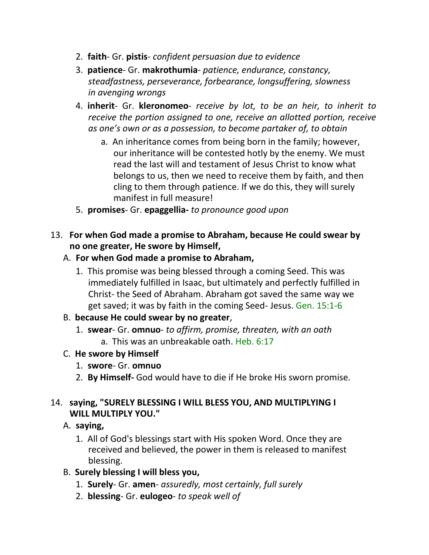- 2. **faith** Gr. **pistis** *confident persuasion due to evidence*
- 3. **patience** Gr. **makrothumia** *patience, endurance, constancy, steadfastness, perseverance, forbearance, longsuffering, slowness in avenging wrongs*
- 4. **inherit** Gr. **kleronomeo** *receive by lot, to be an heir, to inherit to receive the portion assigned to one, receive an allotted portion, receive as one's own or as a possession, to become partaker of, to obtain*
	- a. An inheritance comes from being born in the family; however, our inheritance will be contested hotly by the enemy. We must read the last will and testament of Jesus Christ to know what belongs to us, then we need to receive them by faith, and then cling to them through patience. If we do this, they will surely manifest in full measure!
- 5. **promises** Gr. **epaggellia-** *to pronounce good upon*
- 13. **For when God made a promise to Abraham, because He could swear by no one greater, He swore by Himself,**

#### A. **For when God made a promise to Abraham,**

1. This promise was being blessed through a coming Seed. This was immediately fulfilled in Isaac, but ultimately and perfectly fulfilled in Christ- the Seed of Abraham. Abraham got saved the same way we get saved; it was by faith in the coming Seed- Jesus. Gen. 15:1-6

#### B. **because He could swear by no greater**,

- 1. **swear** Gr. **omnuo** *to affirm, promise, threaten, with an oath* a. This was an unbreakable oath. Heb. 6:17
- C. **He swore by Himself**
	- 1. **swore** Gr. **omnuo**
	- 2. **By Himself-** God would have to die if He broke His sworn promise.

#### 14. **saying, "SURELY BLESSING I WILL BLESS YOU, AND MULTIPLYING I WILL MULTIPLY YOU."**

#### A. **saying,**

- 1. All of God's blessings start with His spoken Word. Once they are received and believed, the power in them is released to manifest blessing.
- B. **Surely blessing I will bless you,**
	- 1. **Surely** Gr. **amen** *assuredly, most certainly, full surely*
	- 2. **blessing** Gr. **eulogeo** *to speak well of*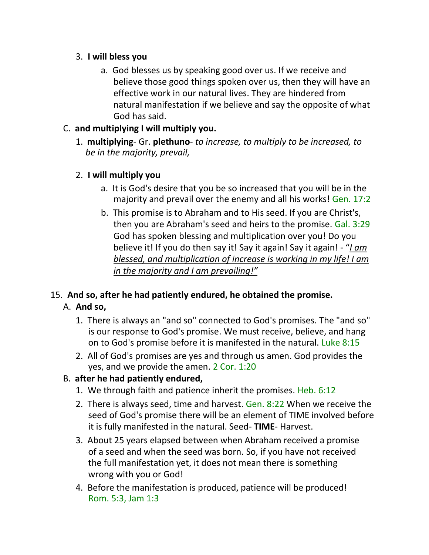#### 3. **I will bless you**

a. God blesses us by speaking good over us. If we receive and believe those good things spoken over us, then they will have an effective work in our natural lives. They are hindered from natural manifestation if we believe and say the opposite of what God has said.

## C. **and multiplying I will multiply you.**

1. **multiplying**- Gr. **plethuno**- *to increase, to multiply to be increased, to be in the majority, prevail,*

## 2. **I will multiply you**

- a. It is God's desire that you be so increased that you will be in the majority and prevail over the enemy and all his works! Gen. 17:2
- b. This promise is to Abraham and to His seed. If you are Christ's, then you are Abraham's seed and heirs to the promise. Gal. 3:29 God has spoken blessing and multiplication over you! Do you believe it! If you do then say it! Say it again! Say it again! - "*I am blessed, and multiplication of increase is working in my life! I am in the majority and I am prevailing!"*

# 15. **And so, after he had patiently endured, he obtained the promise.**

# A. **And so,**

- 1. There is always an "and so" connected to God's promises. The "and so" is our response to God's promise. We must receive, believe, and hang on to God's promise before it is manifested in the natural. Luke 8:15
- 2. All of God's promises are yes and through us amen. God provides the yes, and we provide the amen. 2 Cor. 1:20

# B. **after he had patiently endured,**

- 1. We through faith and patience inherit the promises. Heb. 6:12
- 2. There is always seed, time and harvest. Gen. 8:22 When we receive the seed of God's promise there will be an element of TIME involved before it is fully manifested in the natural. Seed- **TIME**- Harvest.
- 3. About 25 years elapsed between when Abraham received a promise of a seed and when the seed was born. So, if you have not received the full manifestation yet, it does not mean there is something wrong with you or God!
- 4. Before the manifestation is produced, patience will be produced! Rom. 5:3, Jam 1:3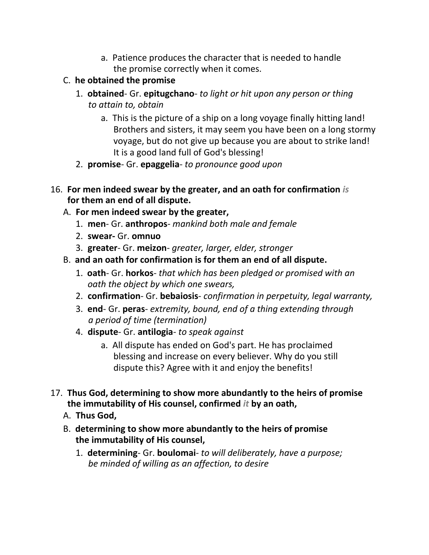- a. Patience produces the character that is needed to handle the promise correctly when it comes.
- C. **he obtained the promise**
	- 1. **obtained** Gr. **epitugchano** *to light or hit upon any person or thing to attain to, obtain*
		- a. This is the picture of a ship on a long voyage finally hitting land! Brothers and sisters, it may seem you have been on a long stormy voyage, but do not give up because you are about to strike land! It is a good land full of God's blessing!
	- 2. **promise** Gr. **epaggelia** *to pronounce good upon*
- 16. **For men indeed swear by the greater, and an oath for confirmation** *is*  **for them an end of all dispute.**
	- A. **For men indeed swear by the greater,**
		- 1. **men** Gr. **anthropos** *mankind both male and female*
		- 2. **swear-** Gr. **omnuo**
		- 3. **greater** Gr. **meizon** *greater, larger, elder, stronger*
	- B. **and an oath for confirmation is for them an end of all dispute.**
		- 1. **oath** Gr. **horkos** *that which has been pledged or promised with an oath the object by which one swears,*
		- 2. **confirmation** Gr. **bebaiosis** *confirmation in perpetuity, legal warranty,*
		- 3. **end** Gr. **peras** *extremity, bound, end of a thing extending through a period of time (termination)*
		- 4. **dispute** Gr. **antilogia** *to speak against*
			- a. All dispute has ended on God's part. He has proclaimed blessing and increase on every believer. Why do you still dispute this? Agree with it and enjoy the benefits!
- 17. **Thus God, determining to show more abundantly to the heirs of promise the immutability of His counsel, confirmed** *it* **by an oath,**
	- A. **Thus God,**
	- B. **determining to show more abundantly to the heirs of promise the immutability of His counsel,**
		- 1. **determining** Gr. **boulomai** *to will deliberately, have a purpose; be minded of willing as an affection, to desire*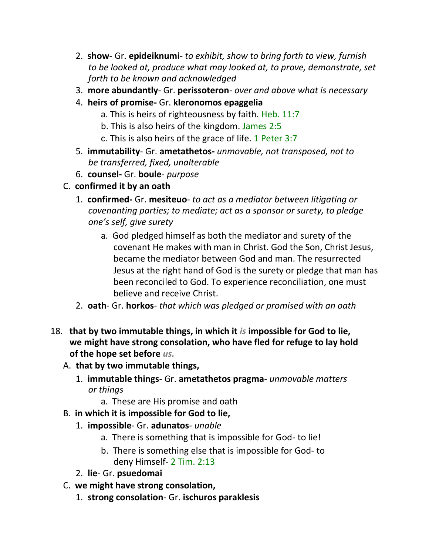- 2. **show** Gr. **epideiknumi** *to exhibit, show to bring forth to view, furnish to be looked at, produce what may looked at, to prove, demonstrate, set forth to be known and acknowledged*
- 3. **more abundantly** Gr. **perissoteron** *over and above what is necessary*
- 4. **heirs of promise-** Gr. **kleronomos epaggelia**
	- a. This is heirs of righteousness by faith. Heb. 11:7
	- b. This is also heirs of the kingdom. James 2:5
	- c. This is also heirs of the grace of life. 1 Peter 3:7
- 5. **immutability** Gr. **ametathetos-** *unmovable, not transposed, not to be transferred, fixed, unalterable*
- 6. **counsel-** Gr. **boule** *purpose*
- C. **confirmed it by an oath**
	- 1. **confirmed-** Gr. **mesiteuo** *to act as a mediator between litigating or covenanting parties; to mediate; act as a sponsor or surety, to pledge one's self, give surety*
		- a. God pledged himself as both the mediator and surety of the covenant He makes with man in Christ. God the Son, Christ Jesus, became the mediator between God and man. The resurrected Jesus at the right hand of God is the surety or pledge that man has been reconciled to God. To experience reconciliation, one must believe and receive Christ.
	- 2. **oath** Gr. **horkos** *that which was pledged or promised with an oath*
- 18. **that by two immutable things, in which it** *is* **impossible for God to lie, we might have strong consolation, who have fled for refuge to lay hold of the hope set before** *us.*
	- A. **that by two immutable things,**
		- 1. **immutable things** Gr. **ametathetos pragma** *unmovable matters or things*
			- a. These are His promise and oath
	- B. **in which it is impossible for God to lie,**
		- 1. **impossible** Gr. **adunatos** *unable*
			- a. There is something that is impossible for God- to lie!
			- b. There is something else that is impossible for God- to deny Himself- 2 Tim. 2:13
		- 2. **lie** Gr. **psuedomai**
	- C. **we might have strong consolation,**
		- 1. **strong consolation** Gr. **ischuros paraklesis**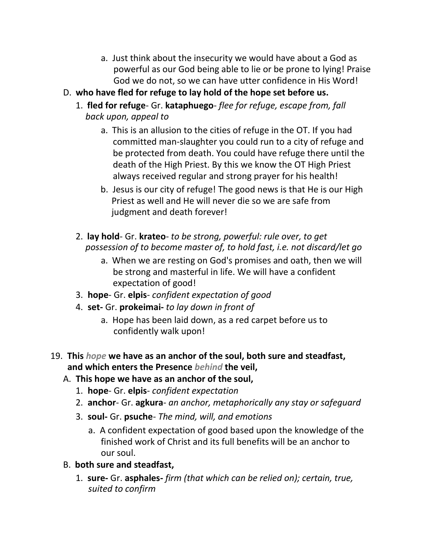- a. Just think about the insecurity we would have about a God as powerful as our God being able to lie or be prone to lying! Praise God we do not, so we can have utter confidence in His Word!
- D. **who have fled for refuge to lay hold of the hope set before us.**
	- 1. **fled for refuge** Gr. **kataphuego** *flee for refuge, escape from, fall back upon, appeal to*
		- a. This is an allusion to the cities of refuge in the OT. If you had committed man-slaughter you could run to a city of refuge and be protected from death. You could have refuge there until the death of the High Priest. By this we know the OT High Priest always received regular and strong prayer for his health!
		- b. Jesus is our city of refuge! The good news is that He is our High Priest as well and He will never die so we are safe from judgment and death forever!
	- 2. **lay hold** Gr. **krateo** *to be strong, powerful: rule over, to get possession of to become master of, to hold fast, i.e. not discard/let go*
		- a. When we are resting on God's promises and oath, then we will be strong and masterful in life. We will have a confident expectation of good!
	- 3. **hope** Gr. **elpis** *confident expectation of good*
	- 4. **set-** Gr. **prokeimai-** *to lay down in front of*
		- a. Hope has been laid down, as a red carpet before us to confidently walk upon!
- 19. **This** *hope* **we have as an anchor of the soul, both sure and steadfast, and which enters the Presence** *behind* **the veil,**
	- A. **This hope we have as an anchor of the soul,**
		- 1. **hope** Gr. **elpis** *confident expectation*
		- 2. **anchor** Gr. **agkura** *an anchor, metaphorically any stay or safeguard*
		- 3. **soul-** Gr. **psuche** *The mind, will, and emotions*
			- a. A confident expectation of good based upon the knowledge of the finished work of Christ and its full benefits will be an anchor to our soul.
	- B. **both sure and steadfast,**
		- 1. **sure-** Gr. **asphales-** *firm (that which can be relied on); certain, true, suited to confirm*